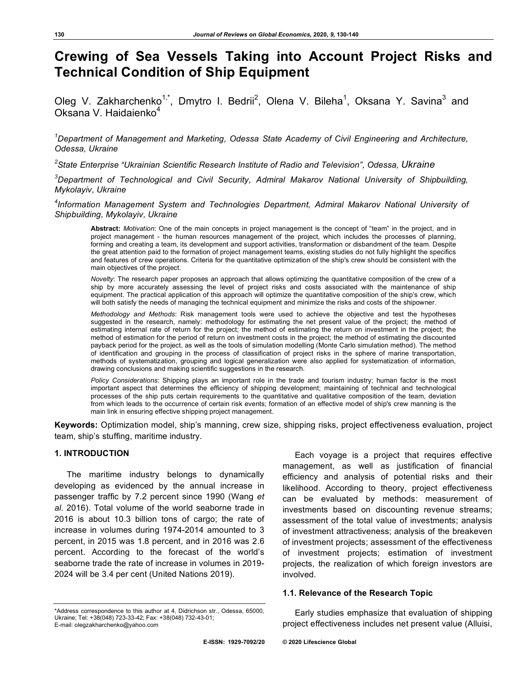# **Crewing of Sea Vessels Taking into Account Project Risks and Technical Condition of Ship Equipment**

Oleg V. Zakharchenko<sup>1,\*</sup>, Dmytro I. Bedrii<sup>2</sup>, Olena V. Bileha<sup>1</sup>, Oksana Y. Savina<sup>3</sup> and Oksana V. Haidaienko<sup>4</sup>

*1 Department of Management and Marketing, Odessa State Academy of Civil Engineering and Architecture, Odessa, Ukraine*

*2 State Enterprise "Ukrainian Scientific Research Institute of Radio and Television", Odessa, Ukraine*

*3 Department of Technological and Civil Security, Admiral Makarov National University of Shipbuilding, Mykolayiv, Ukraine*

*4 Information Management System and Technologies Department, Admiral Makarov National University of Shipbuilding, Mykolayiv, Ukraine*

**Abstract:** *Motivation*: One of the main concepts in project management is the concept of "team" in the project, and in project management - the human resources management of the project, which includes the processes of planning, forming and creating a team, its development and support activities, transformation or disbandment of the team. Despite the great attention paid to the formation of project management teams, existing studies do not fully highlight the specifics and features of crew operations. Criteria for the quantitative optimization of the ship's crew should be consistent with the main objectives of the project.

*Novelty*: The research paper proposes an approach that allows optimizing the quantitative composition of the crew of a ship by more accurately assessing the level of project risks and costs associated with the maintenance of ship equipment. The practical application of this approach will optimize the quantitative composition of the ship's crew, which will both satisfy the needs of managing the technical equipment and minimize the risks and costs of the shipowner.

*Methodology and Methods*: Risk management tools were used to achieve the objective and test the hypotheses suggested in the research, namely: methodology for estimating the net present value of the project; the method of estimating internal rate of return for the project; the method of estimating the return on investment in the project; the method of estimation for the period of return on investment costs in the project; the method of estimating the discounted payback period for the project, as well as the tools of simulation modelling (Monte Carlo simulation method). The method of identification and grouping in the process of classification of project risks in the sphere of marine transportation, methods of systematization, grouping and logical generalization were also applied for systematization of information, drawing conclusions and making scientific suggestions in the research.

*Policy Considerations*: Shipping plays an important role in the trade and tourism industry; human factor is the most important aspect that determines the efficiency of shipping development; maintaining of technical and technological processes of the ship puts certain requirements to the quantitative and qualitative composition of the team, deviation from which leads to the occurrence of certain risk events; formation of an effective model of ship's crew manning is the main link in ensuring effective shipping project management.

**Keywords:** Optimization model, ship's manning, crew size, shipping risks, project effectiveness evaluation, project team, ship's stuffing, maritime industry.

#### **1. INTRODUCTION**

The maritime industry belongs to dynamically developing as evidenced by the annual increase in passenger traffic by 7.2 percent since 1990 (Wang *et al*. 2016). Total volume of the world seaborne trade in 2016 is about 10.3 billion tons of cargo; the rate of increase in volumes during 1974-2014 amounted to 3 percent, in 2015 was 1.8 percent, and in 2016 was 2.6 percent. According to the forecast of the world's seaborne trade the rate of increase in volumes in 2019- 2024 will be 3.4 per cent (United Nations 2019).

Each voyage is a project that requires effective management, as well as justification of financial efficiency and analysis of potential risks and their likelihood. According to theory, project effectiveness can be evaluated by methods: measurement of investments based on discounting revenue streams; assessment of the total value of investments; analysis of investment attractiveness; analysis of the breakeven of investment projects; assessment of the effectiveness of investment projects; estimation of investment projects, the realization of which foreign investors are involved.

#### **1.1. Relevance of the Research Topic**

Early studies emphasize that evaluation of shipping project effectiveness includes net present value (Alluisi,

<sup>\*</sup>Address correspondence to this author at 4, Didrichson str., Odessa, 65000, Ukraine; Tel: +38(048) 723-33-42; Fax: +38(048) 732-43-01; E-mail: olegzakharchenko@yahoo.com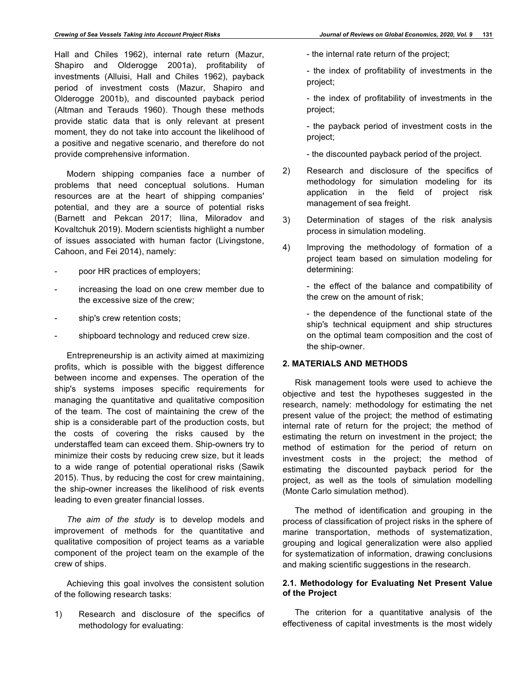Hall and Chiles 1962), internal rate return (Mazur, Shapiro and Olderogge 2001a), profitability of investments (Alluisi, Hall and Chiles 1962), payback period of investment costs (Mazur, Shapiro and Olderogge 2001b), and discounted payback period (Altman and Terauds 1960). Though these methods provide static data that is only relevant at present moment, they do not take into account the likelihood of a positive and negative scenario, and therefore do not provide comprehensive information.

Modern shipping companies face a number of problems that need conceptual solutions. Human resources are at the heart of shipping companies' potential, and they are a source of potential risks (Barnett and Pekcan 2017; Ilina, Miloradov and Kovaltchuk 2019). Modern scientists highlight a number of issues associated with human factor (Livingstone, Cahoon, and Fei 2014), namely:

- poor HR practices of employers;
- increasing the load on one crew member due to the excessive size of the crew;
- ship's crew retention costs;
- shipboard technology and reduced crew size.

Entrepreneurship is an activity aimed at maximizing profits, which is possible with the biggest difference between income and expenses. The operation of the ship's systems imposes specific requirements for managing the quantitative and qualitative composition of the team. The cost of maintaining the crew of the ship is a considerable part of the production costs, but the costs of covering the risks caused by the understaffed team can exceed them. Ship-owners try to minimize their costs by reducing crew size, but it leads to a wide range of potential operational risks (Sawik 2015). Thus, by reducing the cost for crew maintaining, the ship-owner increases the likelihood of risk events leading to even greater financial losses.

*The aim of the study* is to develop models and improvement of methods for the quantitative and qualitative composition of project teams as a variable component of the project team on the example of the crew of ships.

Achieving this goal involves the consistent solution of the following research tasks:

1) Research and disclosure of the specifics of methodology for evaluating:

- the internal rate return of the project;

- the index of profitability of investments in the project;

- the index of profitability of investments in the project;

- the payback period of investment costs in the project;

- the discounted payback period of the project.

- 2) Research and disclosure of the specifics of methodology for simulation modeling for its application in the field of project risk management of sea freight.
- 3) Determination of stages of the risk analysis process in simulation modeling.
- 4) Improving the methodology of formation of a project team based on simulation modeling for determining:

- the effect of the balance and compatibility of the crew on the amount of risk;

- the dependence of the functional state of the ship's technical equipment and ship structures on the optimal team composition and the cost of the ship-owner.

## **2. MATERIALS AND METHODS**

Risk management tools were used to achieve the objective and test the hypotheses suggested in the research, namely: methodology for estimating the net present value of the project; the method of estimating internal rate of return for the project; the method of estimating the return on investment in the project; the method of estimation for the period of return on investment costs in the project; the method of estimating the discounted payback period for the project, as well as the tools of simulation modelling (Monte Carlo simulation method).

The method of identification and grouping in the process of classification of project risks in the sphere of marine transportation, methods of systematization, grouping and logical generalization were also applied for systematization of information, drawing conclusions and making scientific suggestions in the research.

# **2.1. Methodology for Evaluating Net Present Value of the Project**

The criterion for a quantitative analysis of the effectiveness of capital investments is the most widely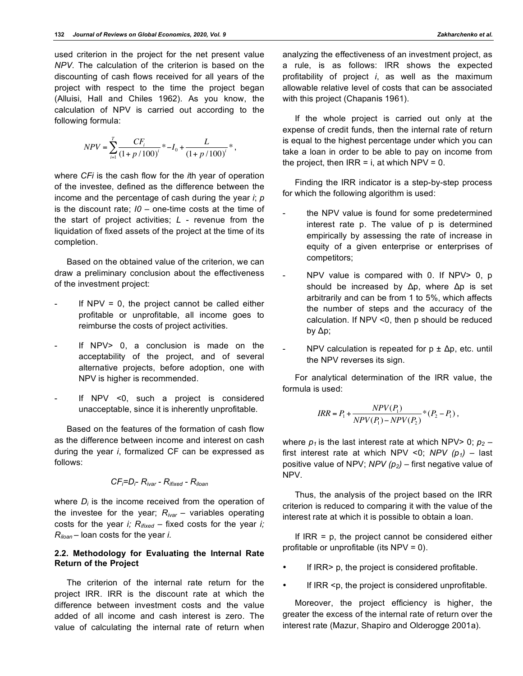used criterion in the project for the net present value *NPV*. The calculation of the criterion is based on the discounting of cash flows received for all years of the project with respect to the time the project began (Alluisi, Hall and Chiles 1962). As you know, the calculation of NPV is carried out according to the following formula:

$$
NPV = \sum_{i=1}^{T} \frac{CF_i}{(1 + p/100)^i} * -I_0 + \frac{L}{(1 + p/100)^i} * ,
$$

where *CFi* is the cash flow for the *i*th year of operation of the investee, defined as the difference between the income and the percentage of cash during the year *i*; *p* is the discount rate; *I0* – one-time costs at the time of the start of project activities; *L* - revenue from the liquidation of fixed assets of the project at the time of its completion.

Based on the obtained value of the criterion, we can draw a preliminary conclusion about the effectiveness of the investment project:

- If  $NPV = 0$ , the project cannot be called either profitable or unprofitable, all income goes to reimburse the costs of project activities.
- If NPV> 0, a conclusion is made on the acceptability of the project, and of several alternative projects, before adoption, one with NPV is higher is recommended.
- If NPV <0, such a project is considered unacceptable, since it is inherently unprofitable.

Based on the features of the formation of cash flow as the difference between income and interest on cash during the year *i*, formalized CF can be expressed as follows:

$$
CF_i = D_i - R_{ivar} - R_{fixed} - R_{iloan}
$$

where  $D_i$  is the income received from the operation of the investee for the year; *Rivar* – variables operating costs for the year *i; Rifixed* – fixed costs for the year *i; Riloan* – loan costs for the year *i.*

## **2.2. Methodology for Evaluating the Internal Rate Return of the Project**

The criterion of the internal rate return for the project IRR. IRR is the discount rate at which the difference between investment costs and the value added of all income and cash interest is zero. The value of calculating the internal rate of return when analyzing the effectiveness of an investment project, as a rule, is as follows: IRR shows the expected profitability of project *i*, as well as the maximum allowable relative level of costs that can be associated with this project (Chapanis 1961).

If the whole project is carried out only at the expense of credit funds, then the internal rate of return is equal to the highest percentage under which you can take a loan in order to be able to pay on income from the project, then  $IRR = i$ , at which  $NPV = 0$ .

Finding the IRR indicator is a step-by-step process for which the following algorithm is used:

- the NPV value is found for some predetermined interest rate p. The value of p is determined empirically by assessing the rate of increase in equity of a given enterprise or enterprises of competitors;
- $NPV$  value is compared with 0. If  $NPV > 0$ , p should be increased by Δр, where Δр is set arbitrarily and can be from 1 to 5%, which affects the number of steps and the accuracy of the calculation. If NPV <0, then p should be reduced by Δp;
- NPV calculation is repeated for  $p \pm \Delta p$ , etc. until the NPV reverses its sign.

For analytical determination of the IRR value, the formula is used:

$$
IRR = P_1 + \frac{NPV(P_1)}{NPV(P_1) - NPV(P_2)} * (P_2 - P_1),
$$

where  $p_1$  is the last interest rate at which NPV> 0;  $p_2$  – first interest rate at which NPV <0;  $NPV$  ( $p_1$ ) – last positive value of NPV; *NPV (р2)* – first negative value of NPV.

Thus, the analysis of the project based on the IRR criterion is reduced to comparing it with the value of the interest rate at which it is possible to obtain a loan.

If  $IRR = p$ , the project cannot be considered either profitable or unprofitable (its NPV = 0).

- If IRR> p, the project is considered profitable.
- If IRR <p, the project is considered unprofitable.

Moreover, the project efficiency is higher, the greater the excess of the internal rate of return over the interest rate (Mazur, Shapiro and Olderogge 2001a).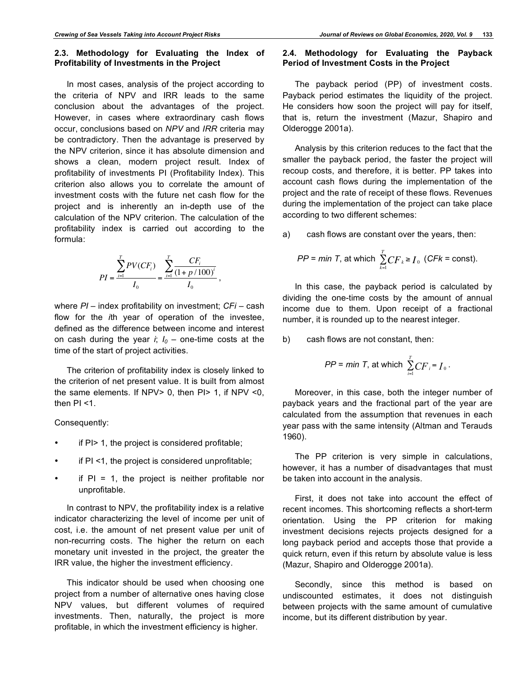## **2.3. Methodology for Evaluating the Index of Profitability of Investments in the Project**

In most cases, analysis of the project according to the criteria of NPV and IRR leads to the same conclusion about the advantages of the project. However, in cases where extraordinary cash flows occur, conclusions based on *NPV* and *IRR* criteria may be contradictory. Then the advantage is preserved by the NPV criterion, since it has absolute dimension and shows a clean, modern project result. Index of profitability of investments PI (Profitability Index). This criterion also allows you to correlate the amount of investment costs with the future net cash flow for the project and is inherently an in-depth use of the calculation of the NPV criterion. The calculation of the profitability index is carried out according to the formula:

$$
PI = \frac{\sum_{i=1}^{T} PV(CF_i)}{I_0} = \frac{\sum_{i=1}^{T} \frac{CF_i}{(1 + p/100)^i}}{I_0},
$$

where *PI* – index profitability on investment; *CFi* – cash flow for the *i*th year of operation of the investee, defined as the difference between income and interest on cash during the year *i*;  $I_0$  – one-time costs at the time of the start of project activities.

The criterion of profitability index is closely linked to the criterion of net present value. It is built from almost the same elements. If NPV> 0, then PI> 1, if NPV <0, then PI <1.

Consequently:

- if PI > 1, the project is considered profitable;
- if PI <1, the project is considered unprofitable;
- if  $PI = 1$ , the project is neither profitable nor unprofitable.

In contrast to NPV, the profitability index is a relative indicator characterizing the level of income per unit of cost, i.e. the amount of net present value per unit of non-recurring costs. The higher the return on each monetary unit invested in the project, the greater the IRR value, the higher the investment efficiency.

This indicator should be used when choosing one project from a number of alternative ones having close NPV values, but different volumes of required investments. Then, naturally, the project is more profitable, in which the investment efficiency is higher.

#### **2.4. Methodology for Evaluating the Payback Period of Investment Costs in the Project**

The payback period (PP) of investment costs. Payback period estimates the liquidity of the project. He considers how soon the project will pay for itself, that is, return the investment (Mazur, Shapiro and Olderogge 2001a).

Analysis by this criterion reduces to the fact that the smaller the payback period, the faster the project will recoup costs, and therefore, it is better. PP takes into account cash flows during the implementation of the project and the rate of receipt of these flows. Revenues during the implementation of the project can take place according to two different schemes:

a) cash flows are constant over the years, then:

$$
PP = min T
$$
, at which  $\sum_{k=1}^{T} CF_k \ge I_0$  (*CFk* = const).

In this case, the payback period is calculated by dividing the one-time costs by the amount of annual income due to them. Upon receipt of a fractional number, it is rounded up to the nearest integer.

b) cash flows are not constant, then:

$$
PP = min T
$$
, at which  $\sum_{i=1}^{T} CF_i = I_0$ .

Moreover, in this case, both the integer number of payback years and the fractional part of the year are calculated from the assumption that revenues in each year pass with the same intensity (Altman and Terauds 1960).

The PP criterion is very simple in calculations, however, it has a number of disadvantages that must be taken into account in the analysis.

First, it does not take into account the effect of recent incomes. This shortcoming reflects a short-term orientation. Using the PP criterion for making investment decisions rejects projects designed for a long payback period and accepts those that provide a quick return, even if this return by absolute value is less (Mazur, Shapiro and Olderogge 2001a).

Secondly, since this method is based on undiscounted estimates, it does not distinguish between projects with the same amount of cumulative income, but its different distribution by year.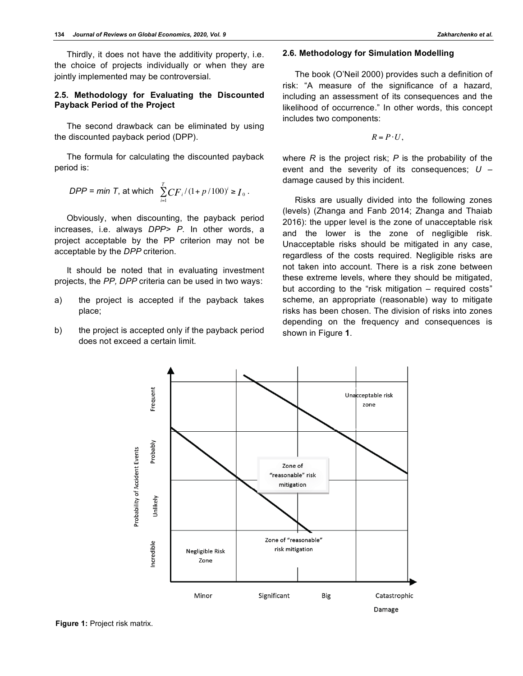Thirdly, it does not have the additivity property, i.e. the choice of projects individually or when they are jointly implemented may be controversial.

## **2.5. Methodology for Evaluating the Discounted Payback Period of the Project**

The second drawback can be eliminated by using the discounted payback period (DPP).

The formula for calculating the discounted payback period is:

*DPP* = min T, at which 
$$
\sum_{i=1}^{T} CF_i/(1 + p/100)^i \ge I_0
$$
.

Obviously, when discounting, the payback period increases, i.e. always *DPP> P*. In other words, a project acceptable by the PP criterion may not be acceptable by the *DPP* criterion.

It should be noted that in evaluating investment projects, the *PP, DPP* criteria can be used in two ways:

- a) the project is accepted if the payback takes place;
- b) the project is accepted only if the payback period does not exceed a certain limit.

### **2.6. Methodology for Simulation Modelling**

The book (O'Neil 2000) provides such a definition of risk: "A measure of the significance of a hazard, including an assessment of its consequences and the likelihood of occurrence." In other words, this concept includes two components:

 $R = P \cdot U$ ,

where *R* is the project risk; *P* is the probability of the event and the severity of its consequences; *U* – damage caused by this incident.

Risks are usually divided into the following zones (levels) (Zhanga and Fanb 2014; Zhanga and Thaiab 2016): the upper level is the zone of unacceptable risk and the lower is the zone of negligible risk. Unacceptable risks should be mitigated in any case, regardless of the costs required. Negligible risks are not taken into account. There is a risk zone between these extreme levels, where they should be mitigated, but according to the "risk mitigation – required costs" scheme, an appropriate (reasonable) way to mitigate risks has been chosen. The division of risks into zones depending on the frequency and consequences is shown in Figure **1**.

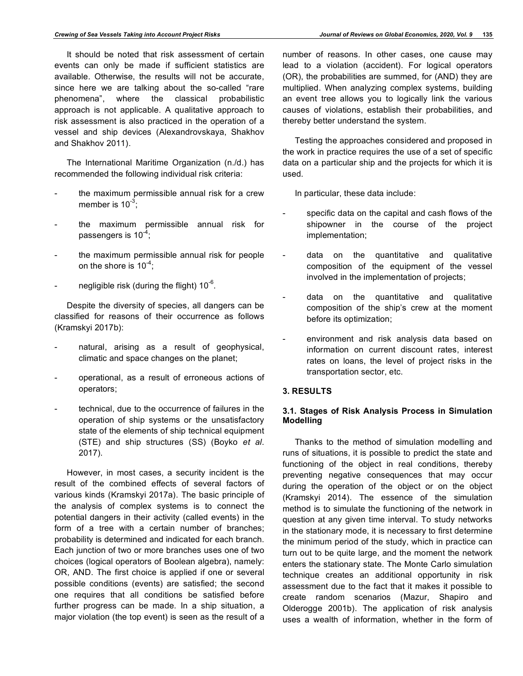It should be noted that risk assessment of certain events can only be made if sufficient statistics are available. Otherwise, the results will not be accurate, since here we are talking about the so-called "rare phenomena", where the classical probabilistic approach is not applicable. A qualitative approach to risk assessment is also practiced in the operation of a vessel and ship devices (Alexandrovskaya, Shakhov and Shakhov 2011).

The International Maritime Organization (n./d.) has recommended the following individual risk criteria:

- the maximum permissible annual risk for a crew member is  $10^{-3}$ ;
- the maximum permissible annual risk for passengers is  $10^{-4}$ ;
- the maximum permissible annual risk for people on the shore is  $10^{-4}$ ;
- negligible risk (during the flight)  $10^{-6}$ .

Despite the diversity of species, all dangers can be classified for reasons of their occurrence as follows (Kramskyі 2017b):

- natural, arising as a result of geophysical, climatic and space changes on the planet;
- operational, as a result of erroneous actions of operators;
- technical, due to the occurrence of failures in the operation of ship systems or the unsatisfactory state of the elements of ship technical equipment (STE) and ship structures (SS) (Boyko *et al*. 2017).

However, in most cases, a security incident is the result of the combined effects of several factors of various kinds (Kramskyі 2017a). The basic principle of the analysis of complex systems is to connect the potential dangers in their activity (called events) in the form of a tree with a certain number of branches; probability is determined and indicated for each branch. Each junction of two or more branches uses one of two choices (logical operators of Boolean algebra), namely: OR, AND. The first choice is applied if one or several possible conditions (events) are satisfied; the second one requires that all conditions be satisfied before further progress can be made. In a ship situation, a major violation (the top event) is seen as the result of a number of reasons. In other cases, one cause may lead to a violation (accident). For logical operators (OR), the probabilities are summed, for (AND) they are multiplied. When analyzing complex systems, building an event tree allows you to logically link the various causes of violations, establish their probabilities, and thereby better understand the system.

Testing the approaches considered and proposed in the work in practice requires the use of a set of specific data on a particular ship and the projects for which it is used.

In particular, these data include:

- specific data on the capital and cash flows of the shipowner in the course of the project implementation;
	- data on the quantitative and qualitative composition of the equipment of the vessel involved in the implementation of projects;
- data on the quantitative and qualitative composition of the ship's crew at the moment before its optimization;
- environment and risk analysis data based on information on current discount rates, interest rates on loans, the level of project risks in the transportation sector, etc.

## **3. RESULTS**

## **3.1. Stages of Risk Analysis Process in Simulation Modelling**

Thanks to the method of simulation modelling and runs of situations, it is possible to predict the state and functioning of the object in real conditions, thereby preventing negative consequences that may occur during the operation of the object or on the object (Kramskyi 2014). The essence of the simulation method is to simulate the functioning of the network in question at any given time interval. To study networks in the stationary mode, it is necessary to first determine the minimum period of the study, which in practice can turn out to be quite large, and the moment the network enters the stationary state. The Monte Carlo simulation technique creates an additional opportunity in risk assessment due to the fact that it makes it possible to create random scenarios (Mazur, Shapiro and Olderogge 2001b). The application of risk analysis uses a wealth of information, whether in the form of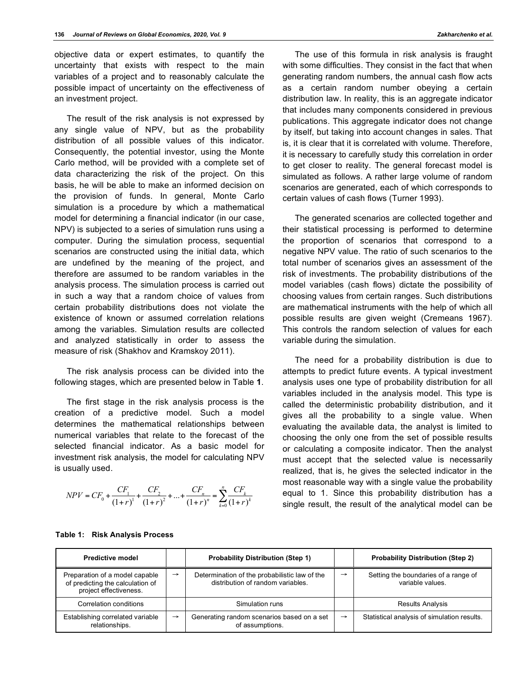objective data or expert estimates, to quantify the uncertainty that exists with respect to the main variables of a project and to reasonably calculate the possible impact of uncertainty on the effectiveness of an investment project.

The result of the risk analysis is not expressed by any single value of NPV, but as the probability distribution of all possible values of this indicator. Consequently, the potential investor, using the Monte Carlo method, will be provided with a complete set of data characterizing the risk of the project. On this basis, he will be able to make an informed decision on the provision of funds. In general, Monte Carlo simulation is a procedure by which a mathematical model for determining a financial indicator (in our case, NPV) is subjected to a series of simulation runs using a computer. During the simulation process, sequential scenarios are constructed using the initial data, which are undefined by the meaning of the project, and therefore are assumed to be random variables in the analysis process. The simulation process is carried out in such a way that a random choice of values from certain probability distributions does not violate the existence of known or assumed correlation relations among the variables. Simulation results are collected and analyzed statistically in order to assess the measure of risk (Shakhov and Kramskoy 2011).

The risk analysis process can be divided into the following stages, which are presented below in Table **1**.

The first stage in the risk analysis process is the creation of a predictive model. Such a model determines the mathematical relationships between numerical variables that relate to the forecast of the selected financial indicator. As a basic model for investment risk analysis, the model for calculating NPV is usually used.

$$
NPV = CF_0 + \frac{CF_1}{(1+r)^1} + \frac{CF_2}{(1+r)^2} + \dots + \frac{CF_n}{(1+r)^n} = \sum_{k=0}^n \frac{CF_k}{(1+r)^k}
$$

The use of this formula in risk analysis is fraught with some difficulties. They consist in the fact that when generating random numbers, the annual cash flow acts as a certain random number obeying a certain distribution law. In reality, this is an aggregate indicator that includes many components considered in previous publications. This aggregate indicator does not change by itself, but taking into account changes in sales. That is, it is clear that it is correlated with volume. Therefore, it is necessary to carefully study this correlation in order to get closer to reality. The general forecast model is simulated as follows. A rather large volume of random scenarios are generated, each of which corresponds to certain values of cash flows (Turner 1993).

The generated scenarios are collected together and their statistical processing is performed to determine the proportion of scenarios that correspond to a negative NPV value. The ratio of such scenarios to the total number of scenarios gives an assessment of the risk of investments. The probability distributions of the model variables (cash flows) dictate the possibility of choosing values from certain ranges. Such distributions are mathematical instruments with the help of which all possible results are given weight (Cremeans 1967). This controls the random selection of values for each variable during the simulation.

The need for a probability distribution is due to attempts to predict future events. A typical investment analysis uses one type of probability distribution for all variables included in the analysis model. This type is called the deterministic probability distribution, and it gives all the probability to a single value. When evaluating the available data, the analyst is limited to choosing the only one from the set of possible results or calculating a composite indicator. Then the analyst must accept that the selected value is necessarily realized, that is, he gives the selected indicator in the most reasonable way with a single value the probability equal to 1. Since this probability distribution has a single result, the result of the analytical model can be

| <b>Predictive model</b>                                                                      |               | <b>Probability Distribution (Step 1)</b>                                           |               | <b>Probability Distribution (Step 2)</b>                 |
|----------------------------------------------------------------------------------------------|---------------|------------------------------------------------------------------------------------|---------------|----------------------------------------------------------|
| Preparation of a model capable<br>of predicting the calculation of<br>project effectiveness. | $\rightarrow$ | Determination of the probabilistic law of the<br>distribution of random variables. | $\rightarrow$ | Setting the boundaries of a range of<br>variable values. |
| Correlation conditions                                                                       |               | Simulation runs                                                                    |               | <b>Results Analysis</b>                                  |
| Establishing correlated variable<br>relationships.                                           | $\rightarrow$ | Generating random scenarios based on a set<br>of assumptions.                      | $\rightarrow$ | Statistical analysis of simulation results.              |

#### **Table 1: Risk Analysis Process**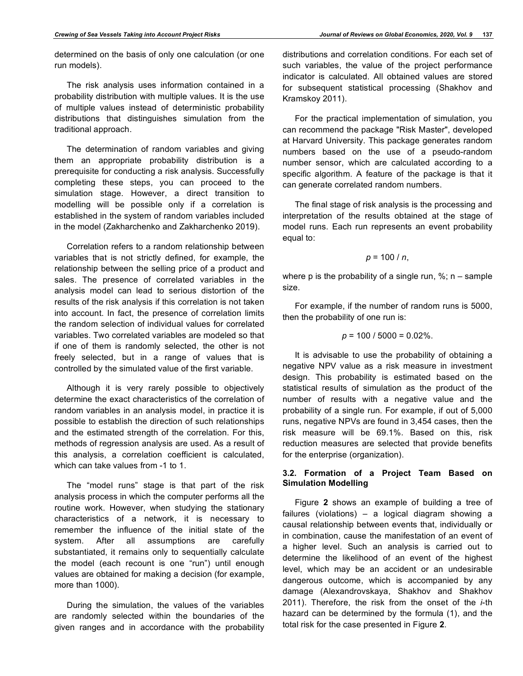determined on the basis of only one calculation (or one run models).

The risk analysis uses information contained in a probability distribution with multiple values. It is the use of multiple values instead of deterministic probability distributions that distinguishes simulation from the traditional approach.

The determination of random variables and giving them an appropriate probability distribution is a prerequisite for conducting a risk analysis. Successfully completing these steps, you can proceed to the simulation stage. However, a direct transition to modelling will be possible only if a correlation is established in the system of random variables included in the model (Zakharchenko and Zakharchenko 2019).

Correlation refers to a random relationship between variables that is not strictly defined, for example, the relationship between the selling price of a product and sales. The presence of correlated variables in the analysis model can lead to serious distortion of the results of the risk analysis if this correlation is not taken into account. In fact, the presence of correlation limits the random selection of individual values for correlated variables. Two correlated variables are modeled so that if one of them is randomly selected, the other is not freely selected, but in a range of values that is controlled by the simulated value of the first variable.

Although it is very rarely possible to objectively determine the exact characteristics of the correlation of random variables in an analysis model, in practice it is possible to establish the direction of such relationships and the estimated strength of the correlation. For this, methods of regression analysis are used. As a result of this analysis, a correlation coefficient is calculated, which can take values from -1 to 1.

The "model runs" stage is that part of the risk analysis process in which the computer performs all the routine work. However, when studying the stationary characteristics of a network, it is necessary to remember the influence of the initial state of the system. After all assumptions are carefully substantiated, it remains only to sequentially calculate the model (each recount is one "run") until enough values are obtained for making a decision (for example, more than 1000).

During the simulation, the values of the variables are randomly selected within the boundaries of the given ranges and in accordance with the probability distributions and correlation conditions. For each set of such variables, the value of the project performance indicator is calculated. All obtained values are stored for subsequent statistical processing (Shakhov and Kramskoy 2011).

For the practical implementation of simulation, you can recommend the package "Risk Master", developed at Harvard University. This package generates random numbers based on the use of a pseudo-random number sensor, which are calculated according to a specific algorithm. A feature of the package is that it can generate correlated random numbers.

The final stage of risk analysis is the processing and interpretation of the results obtained at the stage of model runs. Each run represents an event probability equal to:

$$
p=100/n,
$$

where p is the probability of a single run,  $\%$ ; n – sample size.

For example, if the number of random runs is 5000, then the probability of one run is:

$$
p = 100 / 5000 = 0.02\%
$$
.

It is advisable to use the probability of obtaining a negative NPV value as a risk measure in investment design. This probability is estimated based on the statistical results of simulation as the product of the number of results with a negative value and the probability of a single run. For example, if out of 5,000 runs, negative NPVs are found in 3,454 cases, then the risk measure will be 69.1%. Based on this, risk reduction measures are selected that provide benefits for the enterprise (organization).

# **3.2. Formation of a Project Team Based on Simulation Modelling**

Figure **2** shows an example of building a tree of failures (violations) – a logical diagram showing a causal relationship between events that, individually or in combination, cause the manifestation of an event of a higher level. Such an analysis is carried out to determine the likelihood of an event of the highest level, which may be an accident or an undesirable dangerous outcome, which is accompanied by any damage (Alexandrovskaya, Shakhov and Shakhov 2011). Therefore, the risk from the onset of the *i*-th hazard can be determined by the formula (1), and the total risk for the case presented in Figure **2**.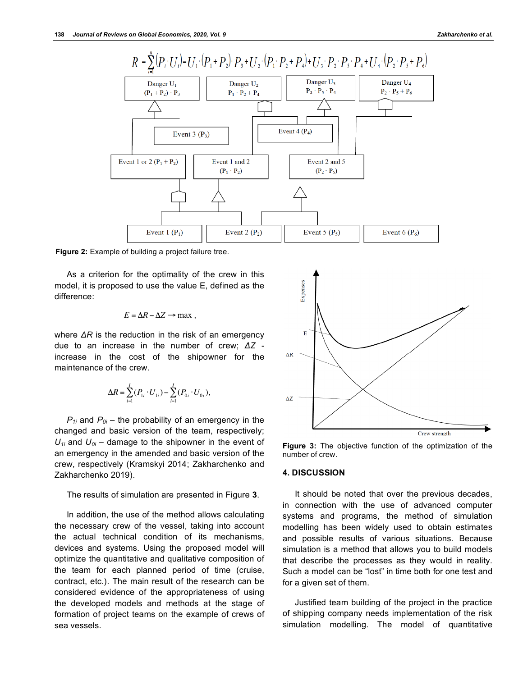

**Figure 2:** Example of building a project failure tree.

As a criterion for the optimality of the crew in this model, it is proposed to use the value E, defined as the difference:

$$
E = \Delta R - \Delta Z \rightarrow \text{max} ,
$$

where *ΔR* is the reduction in the risk of an emergency due to an increase in the number of crew; *ΔZ* increase in the cost of the shipowner for the maintenance of the crew.

$$
\Delta R = \sum_{i=1}^{I} (P_{1i} \cdot U_{1i}) - \sum_{i=1}^{I} (P_{0i} \cdot U_{0i}),
$$

 $P_{1i}$  and  $P_{0i}$  – the probability of an emergency in the changed and basic version of the team, respectively;  $U_{1i}$  and  $U_{0i}$  – damage to the shipowner in the event of an emergency in the amended and basic version of the crew, respectively (Kramskyi 2014; Zakharchenko and Zakharchenko 2019).

The results of simulation are presented in Figure **3**.

In addition, the use of the method allows calculating the necessary crew of the vessel, taking into account the actual technical condition of its mechanisms, devices and systems. Using the proposed model will optimize the quantitative and qualitative composition of the team for each planned period of time (cruise, contract, etc.). The main result of the research can be considered evidence of the appropriateness of using the developed models and methods at the stage of formation of project teams on the example of crews of sea vessels.



**Figure 3:** The objective function of the optimization of the number of crew.

#### **4. DISCUSSION**

It should be noted that over the previous decades, in connection with the use of advanced computer systems and programs, the method of simulation modelling has been widely used to obtain estimates and possible results of various situations. Because simulation is a method that allows you to build models that describe the processes as they would in reality. Such a model can be "lost" in time both for one test and for a given set of them.

Justified team building of the project in the practice of shipping company needs implementation of the risk simulation modelling. The model of quantitative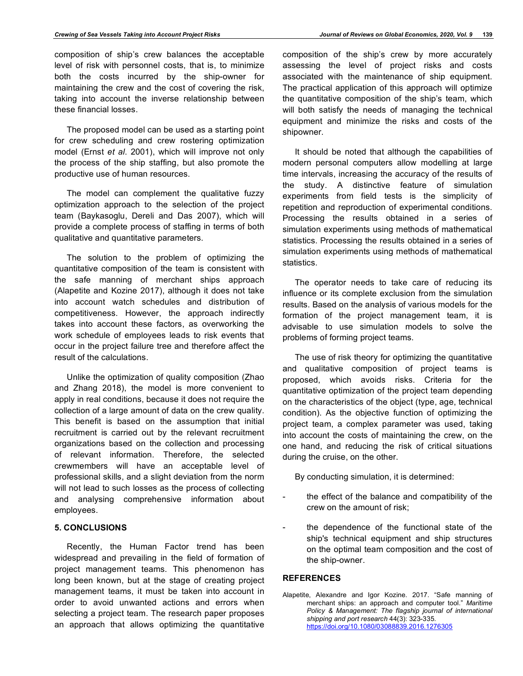composition of ship's crew balances the acceptable level of risk with personnel costs, that is, to minimize both the costs incurred by the ship-owner for maintaining the crew and the cost of covering the risk, taking into account the inverse relationship between these financial losses.

The proposed model can be used as a starting point for crew scheduling and crew rostering optimization model (Ernst *et al*. 2001), which will improve not only the process of the ship staffing, but also promote the productive use of human resources.

The model can complement the qualitative fuzzy optimization approach to the selection of the project team (Baykasoglu, Dereli and Das 2007), which will provide a complete process of staffing in terms of both qualitative and quantitative parameters.

The solution to the problem of optimizing the quantitative composition of the team is consistent with the safe manning of merchant ships approach (Alapetite and Kozine 2017), although it does not take into account watch schedules and distribution of competitiveness. However, the approach indirectly takes into account these factors, as overworking the work schedule of employees leads to risk events that occur in the project failure tree and therefore affect the result of the calculations.

Unlike the optimization of quality composition (Zhao and Zhang 2018), the model is more convenient to apply in real conditions, because it does not require the collection of a large amount of data on the crew quality. This benefit is based on the assumption that initial recruitment is carried out by the relevant recruitment organizations based on the collection and processing of relevant information. Therefore, the selected crewmembers will have an acceptable level of professional skills, and a slight deviation from the norm will not lead to such losses as the process of collecting and analysing comprehensive information about employees.

## **5. CONCLUSIONS**

Recently, the Human Factor trend has been widespread and prevailing in the field of formation of project management teams. This phenomenon has long been known, but at the stage of creating project management teams, it must be taken into account in order to avoid unwanted actions and errors when selecting a project team. The research paper proposes an approach that allows optimizing the quantitative

composition of the ship's crew by more accurately assessing the level of project risks and costs associated with the maintenance of ship equipment. The practical application of this approach will optimize the quantitative composition of the ship's team, which will both satisfy the needs of managing the technical equipment and minimize the risks and costs of the shipowner.

It should be noted that although the capabilities of modern personal computers allow modelling at large time intervals, increasing the accuracy of the results of the study. A distinctive feature of simulation experiments from field tests is the simplicity of repetition and reproduction of experimental conditions. Processing the results obtained in a series of simulation experiments using methods of mathematical statistics. Processing the results obtained in a series of simulation experiments using methods of mathematical statistics.

The operator needs to take care of reducing its influence or its complete exclusion from the simulation results. Based on the analysis of various models for the formation of the project management team, it is advisable to use simulation models to solve the problems of forming project teams.

The use of risk theory for optimizing the quantitative and qualitative composition of project teams is proposed, which avoids risks. Criteria for the quantitative optimization of the project team depending on the characteristics of the object (type, age, technical condition). As the objective function of optimizing the project team, a complex parameter was used, taking into account the costs of maintaining the crew, on the one hand, and reducing the risk of critical situations during the cruise, on the other.

By conducting simulation, it is determined:

- the effect of the balance and compatibility of the crew on the amount of risk;
- the dependence of the functional state of the ship's technical equipment and ship structures on the optimal team composition and the cost of the ship-owner.

## **REFERENCES**

Alapetite, Alexandre and Igor Kozine. 2017. "Safe manning of merchant ships: an approach and computer tool." *Maritime Policy & Management: The flagship journal of international shipping and port research* 44(3): 323-335. https://doi.org/10.1080/03088839.2016.1276305